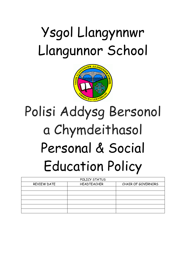## Ysgol Llangynnwr Llangunnor School



# Polisi Addysg Bersonol a Chymdeithasol Personal & Social Education Policy

| POLICY STATUS |                    |                           |
|---------------|--------------------|---------------------------|
| REVIEW DATE   | <b>HEADTEACHER</b> | <b>CHAIR OF GOVERNORS</b> |
|               |                    |                           |
|               |                    |                           |
|               |                    |                           |
|               |                    |                           |
|               |                    |                           |
|               |                    |                           |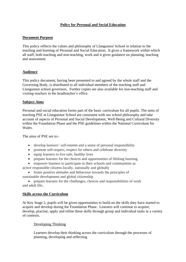## **Policy for Personal and Social Education**

#### **Document Purpose**

This policy reflects the values and philosophy of Llangunnor School in relation to the teaching and learning of Personal and Social Education. It gives a framework within which all staff, both teaching and non-teaching, work and it gives guidance on planning, teaching and assessment.

#### **Audience**

This policy document, having been presented to and agreed by the whole staff and the Governing Body, is distributed to all individual members of the teaching staff and Llangunnor school governors. Further copies are also available for non-teaching staff and visiting teachers in the headteacher's office.

#### **Subject Aims**

Personal and social education forms part of the basic curriculum for all pupils. The aims of teaching PSE at Llangunnor School are consistent with our school philosophy and take account of aspects of Personal and Social Development, Well-Being and Cultural Diversity within the Foundation Phase and the PSE guidelines within the National Curriculum for Wales.

The aims of PSE are to:-

- develop learners' self-esteem and a sense of personal responsibility
- promote self-respect, respect for others and celebrate diversity
- equip learners to live safe, healthy lives
- prepare learners for the choices and opportunities of lifelong learning
- empower learners to participate in their schools and communities as active responsible citizens locally, nationally and globally
- foster positive attitudes and behaviour towards the principles of sustainable development and global citizenship

• prepare learners for the challenges, choices and responsibilities of work and adult life..

#### **Skills across the Curriculum**

At Key Stage 2, pupils will be given opportunities to build on the skills they have started to acquire and develop during the Foundation Phase. Learners will continue to acquire, develop, practise, apply and refine these skills through group and individual tasks in a variety of contexts.

#### Developing Thinking

Learners develop their thinking across the curriculum through the processes of planning, developing and reflecting.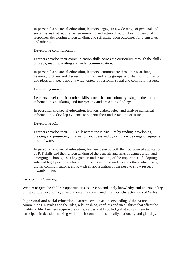In **personal and social education**, learners engage in a wide range of personal and social issues that require decision-making and action through planning personal responses, developing understanding, and reflecting upon outcomes for themselves and others..

#### Developing communication

Learners develop their communication skills across the curriculum through the skills of oracy, reading, writing and wider communication.

In **personal and social education**, learners communicate through researching, listening to others and discussing in small and large groups, and sharing information and ideas with peers about a wide variety of personal, social and community issues.

#### Developing number

Learners develop their number skills across the curriculum by using mathematical information, calculating, and interpreting and presenting findings.

In **personal and social education**, learners gather, select and analyse numerical information to develop evidence to support their understanding of issues.

#### Developing ICT

Learners develop their ICT skills across the curriculum by finding, developing, creating and presenting information and ideas and by using a wide range of equipment and software.

In **personal and social education**, learners develop both their purposeful application of ICT skills and their understanding of the benefits and risks of using current and emerging technologies. They gain an understanding of the importance of adopting safe and legal practices which minimise risks to themselves and others when using digital communications, along with an appreciation of the need to show respect towards others.

## **Curriculum Cymreig**

We aim to give the children opportunities to develop and apply knowledge and understanding of the cultural, economic, environmental, historical and linguistic characteristics of Wales.

In **personal and social education**, learners develop an understanding of the nature of communities in Wales and the roles, relationships, conflicts and inequalities that affect the quality of life. Learners acquire the skills, values and knowledge that equips them to participate in decision-making within their communities, locally, nationally and globally.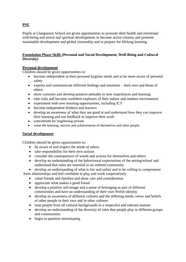## **PSE**

Pupils at Llangunnor School are given opportunities to promote their health and emotional well-being and moral and spiritual development; to become active citizens and promote sustainable development and global citizenship and to prepare for lifelong learning.

## **Foundation Phase Skills (Personal and Social Development, Well-Being and Cultural Diversity)**

## **Personal development**

Children should be given opportunities to:

- become independent in their personal hygiene needs and to be more aware of personal safety
- express and communicate different feelings and emotions their own and those of others
- show curiosity and develop positive attitudes to new experiences and learning
- take risks and become confident explorers of their indoor and outdoor environment
- experiment with new learning opportunities, including ICT
- become independent thinkers and learners
- develop an awareness of what they are good at and understand how they can improve their learning and use feedback to improve their work
- concentrate for lengthening periods
- value the learning, success and achievements of themselves and other people.

## **Social development**

Children should be given opportunities to:

- be aware of and respect the needs of others
- take responsibility for their own actions
- consider the consequences of words and actions for themselves and others
- develop an understanding of the behavioural expectations of the setting/school and understand that rules are essential in an ordered community

• develop an understanding of what is fair and unfair and to be willing to compromise form relationships and feel confident to play and work cooperatively

- value friends and families and show care and consideration
- appreciate what makes a good friend
- develop a positive self-image and a sense of belonging as part of different communities and have an understanding of their own Welsh identity
- develop an awareness of different cultures and the differing needs, views and beliefs of other people in their own and in other cultures
- treat people from all cultural backgrounds in a respectful and tolerant manner
- develop an understanding of the diversity of roles that people play in different groups and communities
- begin to question stereotyping.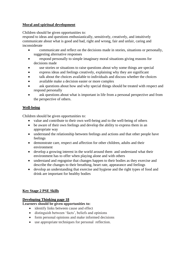## **Moral and spiritual development**

Children should be given opportunities to:

respond to ideas and questions enthusiastically, sensitively, creatively, and intuitively communicate about what is good and bad, right and wrong, fair and unfair, caring and inconsiderate

- communicate and reflect on the decisions made in stories, situations or personally, suggesting alternative responses
- respond personally to simple imaginary moral situations giving reasons for decisions made
- use stories or situations to raise questions about why some things are special
- express ideas and feelings creatively, explaining why they are significant
- talk about the choices available to individuals and discuss whether the choices
- available make a decision easier or more complex
- ask questions about how and why special things should be treated with respect and respond personally
- ask questions about what is important in life from a personal perspective and from the perspective of others.

## **Well-being**

Children should be given opportunities to:

- value and contribute to their own well-being and to the well-being of others
- be aware of their own feelings and develop the ability to express them in an appropriate way
- understand the relationship between feelings and actions and that other people have feelings
- demonstrate care, respect and affection for other children, adults and their environment
- develop a growing interest in the world around them and understand what their environment has to offer when playing alone and with others
- understand and regognise that changes happen to their bodies as they exercise and describe the changes to their breathing, heart rate, appearance and feelings
- devolop an understanding that exercise and hygiene and the right types of food and drink are important for healthy bodies

## **Key Stage 2 PSE Skills**

## **Developing Thinking page 18**

## **Learners should be given opportunities to:**

- identify links between cause and effect
- distinguish between 'facts', beliefs and opinions
- form personal opinions and make informed decisions
- use appropriate techniques for personal reflection.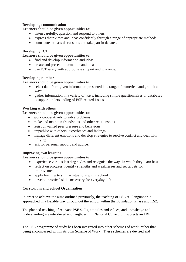#### **Developing communication**

#### **Learners should be given opportunities to:**

- listen carefully, question and respond to others
- express their views and ideas confidently through a range of appropriate methods
- contribute to class discussions and take part in debates.

## **Developing ICT**

## **Learners should be given opportunities to:**

- find and develop information and ideas
- create and present information and ideas
- use ICT safely with appropriate support and guidance.

## **Developing number**

## **Learners should be given opportunities to:**

- select data from given information presented in a range of numerical and graphical ways
- gather information in a variety of ways, including simple questionnaires or databases to support understanding of PSE-related issues.

## **Working with others**

## **Learners should be given opportunities to:**

- work cooperatively to solve problems
- make and maintain friendships and other relationships
- resist unwanted peer pressure and behaviour
- empathise with others' experiences and feelings
- manage different emotions and develop strategies to resolve conflict and deal with bullying
- ask for personal support and advice.

## **Improving own learning**

## **Learners should be given opportunities to:**

- experience various learning styles and recognise the ways in which they learn best
- reflect on progress, identify strengths and weaknesses and set targets for improvement
- apply learning to similar situations within school
- develop practical skills necessary for everyday life.

## **Curriculum and School Organisation**

In order to achieve the aims outlined previously, the teaching of PSE at Llangunnor is approached in a flexible way throughout the school within the Foundation Phase and KS2.

The planned teaching of relevant PSE skills, attitudes and values, and knowledge and understanding are introduced and taught within National Curriculum subjects and RE.

The PSE programme of study has been integrated into other schemes of work, rather than being encompassed within its own Scheme of Work. These schemes are devised and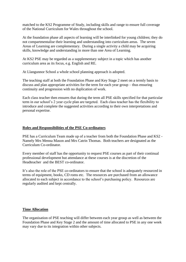matched to the KS2 Programme of Study, including skills and range to ensure full coverage of the National Curriculum for Wales throughout the school.

At the foundation phase all aspects of learning will be interlinked for young children; they do not compartmentalise their learning and understanding into curriculum areas. The seven Areas of Learning are complementary. During a single activity a child may be acquiring skills, knowledge and understanding in more than one Area of Learning.

At KS2 PSE may be regarded as a supplementary subject in a topic which has another curriculum area as its focus, e.g. English and RE.

At Llangunnor School a whole school planning approach is adopted.

The teaching staff at both the Foundation Phase and Key Stage 2 meet on a termly basis to discuss and plan appropriate activities for the term for each year group – thus ensuring continuity and progression with no duplication of work.

Each class teacher then ensures that during the term all PSE skills specified for that particular term in our school's 2 year cycle plan are targeted. Each class teacher has the flexibility to introduce and complete the suggested activities according to their own interpretations and personal expertise.

#### **Roles and Responsibilities of the PSE Co-ordinators**

PSE has a Curriculum Team made up of a teacher from both the Foundation Phase and KS2 - Namely Mrs Menna Mason and Mrs Catrin Thomas. Both teachers are designated as the Curriculum Co-ordinator.

Every member of staff has the opportunity to request PSE courses as part of their continual professional development but attendance at these courses is at the discretion of the Headteacher and the BEST co-ordinator.

It's also the role of the PSE co-ordinators to ensure that the school is adequately resourced in terms of equipment, books, CD roms etc. The resources are purchased from an allowance allocated to each subject in accordance to the school's purchasing policy. Resources are regularly audited and kept centrally.

## **Time Allocation**

The organisation of PSE teaching will differ between each year group as well as between the Foundation Phase and Key Stage 2 and the amount of time allocated to PSE in any one week may vary due to its integration within other subjects.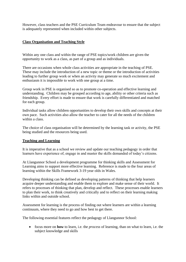However, class teachers and the PSE Curriculum Team endeavour to ensure that the subject is adequately represented when included within other subjects.

#### **Class Organisation and Teaching Style**

Within any one class and within the range of PSE topics/work children are given the opportunity to work as a class, as part of a group and as individuals.

There are occasions when whole class activities are appropriate in the teaching of PSE. These may include the introduction of a new topic or theme or the introduction of activities leading to further group work or when an activity may generate so much excitement and enthusiasm it is impossible to work with one group at a time.

Group work in PSE is organised so as to promote co-operation and effective learning and understanding. Children may be grouped according to age, ability or other criteria such as friendship. Every effort is made to ensure that work is carefully differentiated and matched for each group.

Individual tasks allow children opportunities to develop their own skills and concepts at their own pace. Such activities also allow the teacher to cater for all the needs of the children within a class.

The choice of class organisation will be determined by the learning task or activity, the PSE being studied and the resources being used.

#### **Teaching and Learning**

It is imperative that as a school we review and update our teaching pedagogy in order that learners have experience of, engage in and master the skills demanded of today's citizens.

At Llangunnor School a development programme for thinking skills and Assessment for Learning aims to support more effective learning. Reference is made to the four areas of learning within the Skills Framework 3-19 year olds in Wales.

Developing thinking can be defined as developing patterns of thinking that help learners acquire deeper understanding and enable them to explore and make sense of their world. It refers to processes of thinking that plan, develop and reflect. These processes enable learners to plan their work, to think creatively and critically and to reflect on their learning making links within and outside school.

Assessment for learning is the process of finding out where learners are within a learning continuum, where they need to go and how best to get there.

The following essential features reflect the pedagogy of Llangunnor School:

• focus more on **how** to learn, i.e. the *process* of learning, than on what to learn, i.e. the subject knowledge and skills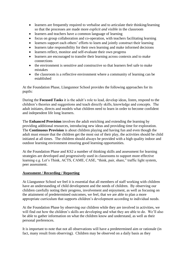- learners are frequently required to verbalise and to articulate their thinking/learning so that the processes are made more *explicit and visibl*e in the classroom
- learners and teachers have a common language of learning
- focus on group collaboration and co-operation, with teachers facilitating learning
- learners support each others' efforts to learn and jointly construct their learning
- learners take responsibility for their own learning and make informed decisions
- learners reflect, monitor and self-evaluate their own progress
- learners are encouraged to transfer their learning across contexts and to make connections
- the environment is sensitive and constructive so that learners feel safe to make mistakes
- the classroom is a reflective environment where a community of learning can be established

At the Foundation Phase, Llangunnor School provides the following approaches for its pupils:

During the **Focused Tasks** it is the adult's role to lead, develop ideas, listen, respond to the children's theories and suggestions and teach directly skills, knowledge and concepts. The adult initiates, directs and models what children need to learn in order to become confident and independent life long learners.

The **Enhanced Provision** involves the adult enriching and extending the learning by providing additional resources, introducing new ideas and providing time for exploration. The **Continuous Provision** is about children playing and having fun and even though the adult must ensure that the children get the most out of their play, the activities should be child initiated at all times. The children should always be provided with a high quality indoor and outdoor learning environment ensuring good learning opportunities.

At the Foundation Phase and KS2 a number of thinking skills and assessment for learning strategies are developed and progressively used in classrooms to support more effective learning e.g. Let's Think, ACTS, CAME, CASE, "think, pair, share," traffic light system, peer assessment.

## **Assessment / Recording / Reporting**

At Llangunnor School we feel it is essential that all members of staff working with children have an understanding of child development and the needs of children. By observing our children carefully noting their progress, involvement and enjoyment, as well as focusing on the attainment of predetermined outcomes, we feel, that we are able to plan a more appropriate curriculum that supports children's development according to individual needs.

At the Foundation Phase by observing our children while they are involved in activities, we will find out how the children's skills are developing and what they are able to do. We'll also be able to gather information on what the children know and understand, as well as their personal preferences.

It is important to note that not all observations will have a predetermined aim or rationale (in fact, many result from observing). Children may be observed on a daily basis as they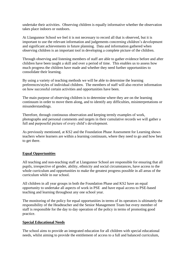undertake their activities. Observing children is equally informative whether the observation takes place indoors or outdoors.

At Llangunnor School we feel it is not necessary to record all that is observed, but it is important to use the relevant information and judgements concerning children's development and significant achievements in future planning. Data and information gathered when observing children is an important tool in developing a complete picture of the children.

Through observing and listening members of staff are able to gather evidence before and after children have been taught a skill and over a period of time. This enables us to assess how much progress the children have made and whether they need further opportunities to consolidate their learning.

By using a variety of teaching methods we will be able to determine the learning preferences/styles of individual children. The members of staff will also receive information on how successful certain activities and opportunities have been.

The main purpose of observing children is to determine where they are on the learning continuum in order to move them along, and to identify any difficulties, misinterpretations or misunderstandings.

Therefore, through continuous observation and keeping termly examples of work, photographs and personal comments and targets in their cumulative records we will gather a full and purposeful picture of every child's development.

As previously mentioned, at KS2 and the Foundation Phase Assessment for Learning shows teachers where learners are within a learning continuum, where they need to go and how best to get there.

## **Equal Opportunities**

All teaching and non-teaching staff at Llangunnor School are responsible for ensuring that all pupils, irrespective of gender, ability, ethnicity and social circumstances, have access to the whole curriculum and opportunities to make the greatest progress possible in all areas of the curriculum while in our school.

All children in all year groups in both the Foundation Phase and KS2 have an equal opportunity to undertake all aspects of work in PSE and have equal access to PSE-based teaching and learning throughout any one school year.

The monitoring of the policy for equal opportunities in terms of its operators is ultimately the responsibility of the Headteacher and the Senior Management Team but every member of staff is responsible for the day to day operation of the policy in terms of promoting good practice.

#### **Special Educational Needs**

The school aims to provide an integrated education for all children with special educational needs, whilst aiming to provide the entitlement of access to a full and balanced curriculum,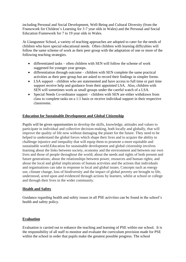including Personal and Social Development, Well-Being and Cultural Diversity (from the Framework for Children's Learning for 3-7 year olds in Wales) and the Personal and Social Education Framework for 7 to 19 year olds in Wales.

At Llangunnor School, a variety of teaching approaches are adopted to cater for the needs of children who have special educational needs. Often children with learning difficulties will follow the same scheme of work as their peer group with the adaptation of one or more of the following teaching strategies.

- differentiated tasks often children with SEN will follow the scheme of work suggested for younger year groups.
- differentiation through outcome children with SEN complete the same practical activities as their peer group but are asked to record their findings in simpler forms.
- LSA support children who are statemented and have access to full time or part time support receive help and guidance from their appointed LSA. Also, children with SEN will sometimes work as small groups under the careful watch of a LSA.
- Special Needs Co-ordinator support children with SEN are either withdrawn from class to complete tasks on a 1:1 basis or receive individual support in their respective classrooms.

## **Education for Sustainable Development and Global Citizenship**

Pupils will be given opportunities to develop the skills, knowledge, attitudes and values to participate in individual and collective decision-making, both locally and globally, that will improve the quality of life now without damaging the planet for the future. They need to be helped to understand the global forces which shape their lives and to acquire the ability to challenge injustice and inequality that will equip them to promote a more equitable and sustainable world.Education for sustainable development and global citizenship involves learning about the links between society, economy and the environment and between our own lives and those of people throughout the world; about the needs and rights of both present and future generations; about the relationships between power, resources and human rights; and about the local and global implications of human activities and the actions that individuals and organisations can take in response to local and global issues. Concepts such as energy use, climate change, loss of biodiversity and the impact of global poverty are brought to life, understood, acted upon and evidenced through actions by learners, whilst at school or college and through their lives in the wider community.

## **Health and Safety**

Guidance regarding health and safety issues in all PSE activities can be found in the school's health and safety policy.

## **Evaluation**

Evaluation is carried out to enhance the teaching and learning of PSE within our school. It is the responsibility of all staff to monitor and evaluate the curriculum provision made for PSE within the school in order that pupils make the greatest possible progress. The school